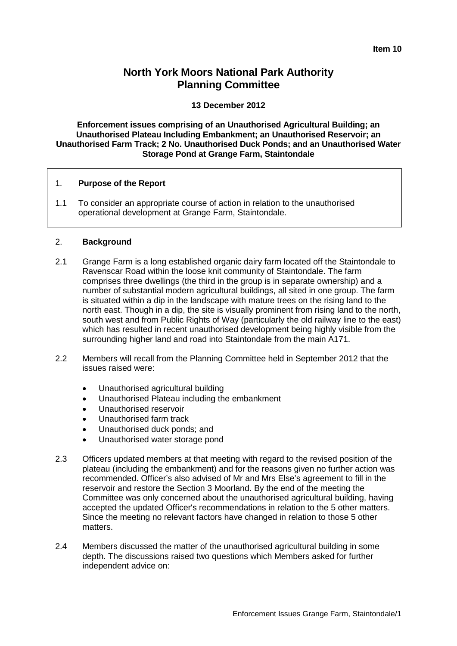# **North York Moors National Park Authority Planning Committee**

#### **13 December 2012**

**Enforcement issues comprising of an Unauthorised Agricultural Building; an Unauthorised Plateau Including Embankment; an Unauthorised Reservoir; an Unauthorised Farm Track; 2 No. Unauthorised Duck Ponds; and an Unauthorised Water Storage Pond at Grange Farm, Staintondale**

#### 1. **Purpose of the Report**

1.1 To consider an appropriate course of action in relation to the unauthorised operational development at Grange Farm, Staintondale.

#### 2. **Background**

- 2.1 Grange Farm is a long established organic dairy farm located off the Staintondale to Ravenscar Road within the loose knit community of Staintondale. The farm comprises three dwellings (the third in the group is in separate ownership) and a number of substantial modern agricultural buildings, all sited in one group. The farm is situated within a dip in the landscape with mature trees on the rising land to the north east. Though in a dip, the site is visually prominent from rising land to the north, south west and from Public Rights of Way (particularly the old railway line to the east) which has resulted in recent unauthorised development being highly visible from the surrounding higher land and road into Staintondale from the main A171.
- 2.2 Members will recall from the Planning Committee held in September 2012 that the issues raised were:
	- Unauthorised agricultural building
	- Unauthorised Plateau including the embankment
	- Unauthorised reservoir
	- Unauthorised farm track
	- Unauthorised duck ponds; and
	- Unauthorised water storage pond
- 2.3 Officers updated members at that meeting with regard to the revised position of the plateau (including the embankment) and for the reasons given no further action was recommended. Officer's also advised of Mr and Mrs Else's agreement to fill in the reservoir and restore the Section 3 Moorland. By the end of the meeting the Committee was only concerned about the unauthorised agricultural building, having accepted the updated Officer's recommendations in relation to the 5 other matters. Since the meeting no relevant factors have changed in relation to those 5 other matters.
- 2.4 Members discussed the matter of the unauthorised agricultural building in some depth. The discussions raised two questions which Members asked for further independent advice on: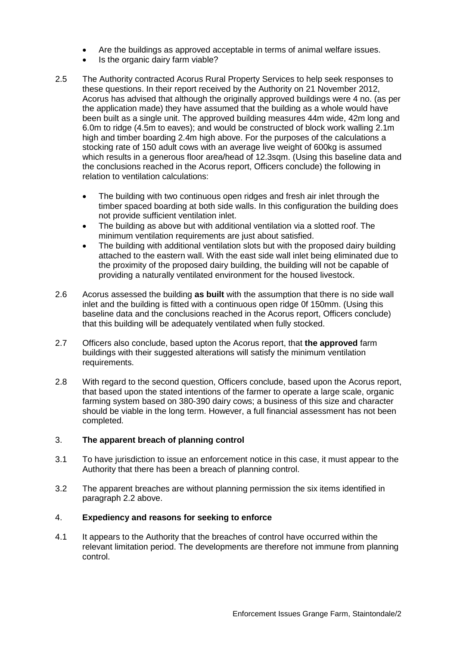- Are the buildings as approved acceptable in terms of animal welfare issues.
- Is the organic dairy farm viable?
- 2.5 The Authority contracted Acorus Rural Property Services to help seek responses to these questions. In their report received by the Authority on 21 November 2012, Acorus has advised that although the originally approved buildings were 4 no. (as per the application made) they have assumed that the building as a whole would have been built as a single unit. The approved building measures 44m wide, 42m long and 6.0m to ridge (4.5m to eaves); and would be constructed of block work walling 2.1m high and timber boarding 2.4m high above. For the purposes of the calculations a stocking rate of 150 adult cows with an average live weight of 600kg is assumed which results in a generous floor area/head of 12.3sqm. (Using this baseline data and the conclusions reached in the Acorus report, Officers conclude) the following in relation to ventilation calculations:
	- The building with two continuous open ridges and fresh air inlet through the timber spaced boarding at both side walls. In this configuration the building does not provide sufficient ventilation inlet.
	- The building as above but with additional ventilation via a slotted roof. The minimum ventilation requirements are just about satisfied.
	- The building with additional ventilation slots but with the proposed dairy building attached to the eastern wall. With the east side wall inlet being eliminated due to the proximity of the proposed dairy building, the building will not be capable of providing a naturally ventilated environment for the housed livestock.
- 2.6 Acorus assessed the building **as built** with the assumption that there is no side wall inlet and the building is fitted with a continuous open ridge 0f 150mm. (Using this baseline data and the conclusions reached in the Acorus report, Officers conclude) that this building will be adequately ventilated when fully stocked.
- 2.7 Officers also conclude, based upton the Acorus report, that **the approved** farm buildings with their suggested alterations will satisfy the minimum ventilation requirements.
- 2.8 With regard to the second question, Officers conclude, based upon the Acorus report, that based upon the stated intentions of the farmer to operate a large scale, organic farming system based on 380-390 dairy cows; a business of this size and character should be viable in the long term. However, a full financial assessment has not been completed.

#### 3. **The apparent breach of planning control**

- 3.1 To have jurisdiction to issue an enforcement notice in this case, it must appear to the Authority that there has been a breach of planning control.
- 3.2 The apparent breaches are without planning permission the six items identified in paragraph 2.2 above.

#### 4. **Expediency and reasons for seeking to enforce**

4.1 It appears to the Authority that the breaches of control have occurred within the relevant limitation period. The developments are therefore not immune from planning control.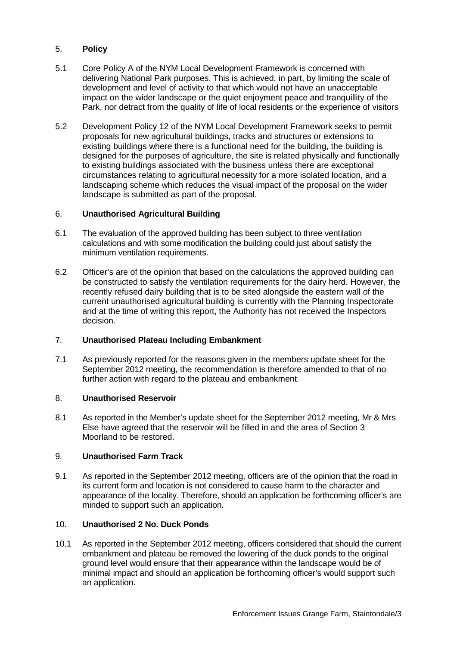## 5. **Policy**

- 5.1 Core Policy A of the NYM Local Development Framework is concerned with delivering National Park purposes. This is achieved, in part, by limiting the scale of development and level of activity to that which would not have an unacceptable impact on the wider landscape or the quiet enjoyment peace and tranquillity of the Park, nor detract from the quality of life of local residents or the experience of visitors
- 5.2 Development Policy 12 of the NYM Local Development Framework seeks to permit proposals for new agricultural buildings, tracks and structures or extensions to existing buildings where there is a functional need for the building, the building is designed for the purposes of agriculture, the site is related physically and functionally to existing buildings associated with the business unless there are exceptional circumstances relating to agricultural necessity for a more isolated location, and a landscaping scheme which reduces the visual impact of the proposal on the wider landscape is submitted as part of the proposal.

#### 6. **Unauthorised Agricultural Building**

- 6.1 The evaluation of the approved building has been subject to three ventilation calculations and with some modification the building could just about satisfy the minimum ventilation requirements.
- 6.2 Officer's are of the opinion that based on the calculations the approved building can be constructed to satisfy the ventilation requirements for the dairy herd. However, the recently refused dairy building that is to be sited alongside the eastern wall of the current unauthorised agricultural building is currently with the Planning Inspectorate and at the time of writing this report, the Authority has not received the Inspectors decision.

## 7. **Unauthorised Plateau Including Embankment**

7.1 As previously reported for the reasons given in the members update sheet for the September 2012 meeting, the recommendation is therefore amended to that of no further action with regard to the plateau and embankment.

#### 8. **Unauthorised Reservoir**

8.1 As reported in the Member's update sheet for the September 2012 meeting, Mr & Mrs Else have agreed that the reservoir will be filled in and the area of Section 3 Moorland to be restored.

#### 9. **Unauthorised Farm Track**

9.1 As reported in the September 2012 meeting, officers are of the opinion that the road in its current form and location is not considered to cause harm to the character and appearance of the locality. Therefore, should an application be forthcoming officer's are minded to support such an application.

## 10. **Unauthorised 2 No. Duck Ponds**

10.1 As reported in the September 2012 meeting, officers considered that should the current embankment and plateau be removed the lowering of the duck ponds to the original ground level would ensure that their appearance within the landscape would be of minimal impact and should an application be forthcoming officer's would support such an application.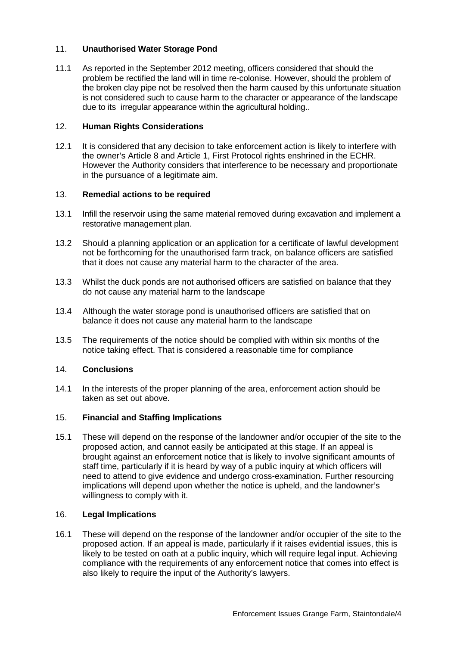## 11. **Unauthorised Water Storage Pond**

11.1 As reported in the September 2012 meeting, officers considered that should the problem be rectified the land will in time re-colonise. However, should the problem of the broken clay pipe not be resolved then the harm caused by this unfortunate situation is not considered such to cause harm to the character or appearance of the landscape due to its irregular appearance within the agricultural holding..

## 12. **Human Rights Considerations**

12.1 It is considered that any decision to take enforcement action is likely to interfere with the owner's Article 8 and Article 1, First Protocol rights enshrined in the ECHR. However the Authority considers that interference to be necessary and proportionate in the pursuance of a legitimate aim.

#### 13. **Remedial actions to be required**

- 13.1 Infill the reservoir using the same material removed during excavation and implement a restorative management plan.
- 13.2 Should a planning application or an application for a certificate of lawful development not be forthcoming for the unauthorised farm track, on balance officers are satisfied that it does not cause any material harm to the character of the area.
- 13.3 Whilst the duck ponds are not authorised officers are satisfied on balance that they do not cause any material harm to the landscape
- 13.4 Although the water storage pond is unauthorised officers are satisfied that on balance it does not cause any material harm to the landscape
- 13.5 The requirements of the notice should be complied with within six months of the notice taking effect. That is considered a reasonable time for compliance

#### 14. **Conclusions**

14.1 In the interests of the proper planning of the area, enforcement action should be taken as set out above.

## 15. **Financial and Staffing Implications**

15.1 These will depend on the response of the landowner and/or occupier of the site to the proposed action, and cannot easily be anticipated at this stage. If an appeal is brought against an enforcement notice that is likely to involve significant amounts of staff time, particularly if it is heard by way of a public inquiry at which officers will need to attend to give evidence and undergo cross-examination. Further resourcing implications will depend upon whether the notice is upheld, and the landowner's willingness to comply with it.

#### 16. **Legal Implications**

16.1 These will depend on the response of the landowner and/or occupier of the site to the proposed action. If an appeal is made, particularly if it raises evidential issues, this is likely to be tested on oath at a public inquiry, which will require legal input. Achieving compliance with the requirements of any enforcement notice that comes into effect is also likely to require the input of the Authority's lawyers.